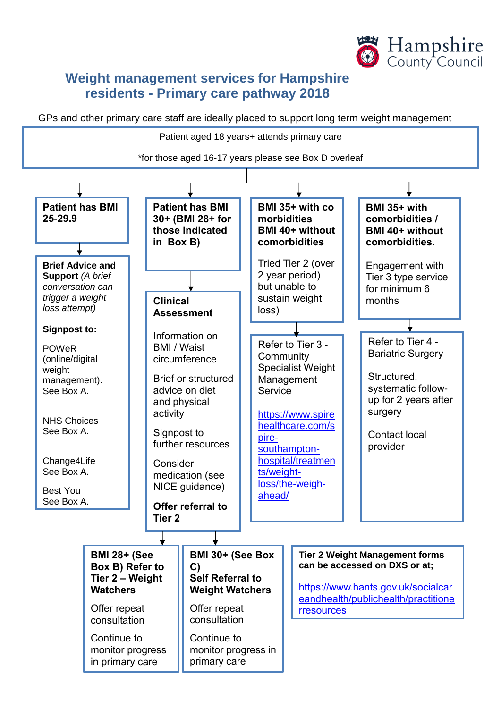

# **Weight management services for Hampshire residents - Primary care pathway 2018**

GPs and other primary care staff are ideally placed to support long term weight management